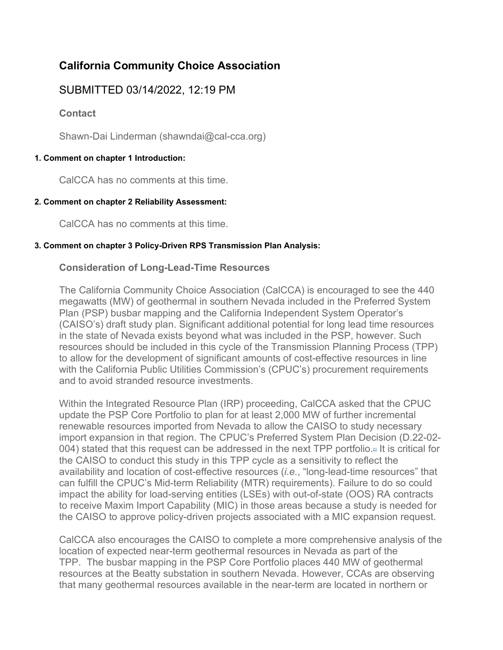# **California Community Choice Association**

## SUBMITTED 03/14/2022, 12:19 PM

**Contact**

Shawn-Dai Linderman (shawndai@cal-cca.org)

### **1. Comment on chapter 1 Introduction:**

CalCCA has no comments at this time.

#### **2. Comment on chapter 2 Reliability Assessment:**

CalCCA has no comments at this time.

#### **3. Comment on chapter 3 Policy-Driven RPS Transmission Plan Analysis:**

### **Consideration of Long-Lead-Time Resources**

The California Community Choice Association (CalCCA) is encouraged to see the 440 megawatts (MW) of geothermal in southern Nevada included in the Preferred System Plan (PSP) busbar mapping and the California Independent System Operator's (CAISO's) draft study plan. Significant additional potential for long lead time resources in the state of Nevada exists beyond what was included in the PSP, however. Such resources should be included in this cycle of the Transmission Planning Process (TPP) to allow for the development of significant amounts of cost-effective resources in line with the California Public Utilities Commission's (CPUC's) procurement requirements and to avoid stranded resource investments.

Within the Integrated Resource Plan (IRP) proceeding, CalCCA asked that the CPUC update the PSP Core Portfolio to plan for at least 2,000 MW of further incremental renewable resources imported from Nevada to allow the CAISO to study necessary import expansion in that region. The CPUC's Preferred System Plan Decision (D.22-02- 004) stated that this request can be addressed in the next TPP portfolio.<sup> $\mu$ </sup> It is critical for the CAISO to conduct this study in this TPP cycle as a sensitivity to reflect the availability and location of cost-effective resources (*i.e.*, "long-lead-time resources" that can fulfill the CPUC's Mid-term Reliability (MTR) requirements). Failure to do so could impact the ability for load-serving entities (LSEs) with out-of-state (OOS) RA contracts to receive Maxim Import Capability (MIC) in those areas because a study is needed for the CAISO to approve policy-driven projects associated with a MIC expansion request.

CalCCA also encourages the CAISO to complete a more comprehensive analysis of the location of expected near-term geothermal resources in Nevada as part of the TPP. The busbar mapping in the PSP Core Portfolio places 440 MW of geothermal resources at the Beatty substation in southern Nevada. However, CCAs are observing that many geothermal resources available in the near-term are located in northern or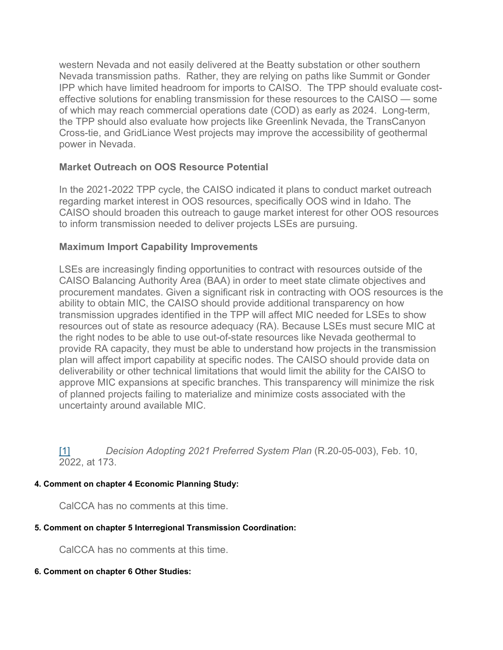western Nevada and not easily delivered at the Beatty substation or other southern Nevada transmission paths. Rather, they are relying on paths like Summit or Gonder IPP which have limited headroom for imports to CAISO. The TPP should evaluate costeffective solutions for enabling transmission for these resources to the CAISO — some of which may reach commercial operations date (COD) as early as 2024. Long-term, the TPP should also evaluate how projects like Greenlink Nevada, the TransCanyon Cross-tie, and GridLiance West projects may improve the accessibility of geothermal power in Nevada.

### **Market Outreach on OOS Resource Potential**

In the 2021-2022 TPP cycle, the CAISO indicated it plans to conduct market outreach regarding market interest in OOS resources, specifically OOS wind in Idaho. The CAISO should broaden this outreach to gauge market interest for other OOS resources to inform transmission needed to deliver projects LSEs are pursuing.

### **Maximum Import Capability Improvements**

LSEs are increasingly finding opportunities to contract with resources outside of the CAISO Balancing Authority Area (BAA) in order to meet state climate objectives and procurement mandates. Given a significant risk in contracting with OOS resources is the ability to obtain MIC, the CAISO should provide additional transparency on how transmission upgrades identified in the TPP will affect MIC needed for LSEs to show resources out of state as resource adequacy (RA). Because LSEs must secure MIC at the right nodes to be able to use out-of-state resources like Nevada geothermal to provide RA capacity, they must be able to understand how projects in the transmission plan will affect import capability at specific nodes. The CAISO should provide data on deliverability or other technical limitations that would limit the ability for the CAISO to approve MIC expansions at specific branches. This transparency will minimize the risk of planned projects failing to materialize and minimize costs associated with the uncertainty around available MIC.

[\[1\]](https://stakeholdercenter.caiso.com/Comments/AllComments/f19a7845-cd76-4d0c-9ebf-041832dbbe23#_616B8F4F-54C9-4AC7-A7B8-A95B5B57C4F0ftnref1) *Decision Adopting 2021 Preferred System Plan* (R.20-05-003), Feb. 10, 2022, at 173.

#### **4. Comment on chapter 4 Economic Planning Study:**

CalCCA has no comments at this time.

#### **5. Comment on chapter 5 Interregional Transmission Coordination:**

CalCCA has no comments at this time.

#### **6. Comment on chapter 6 Other Studies:**